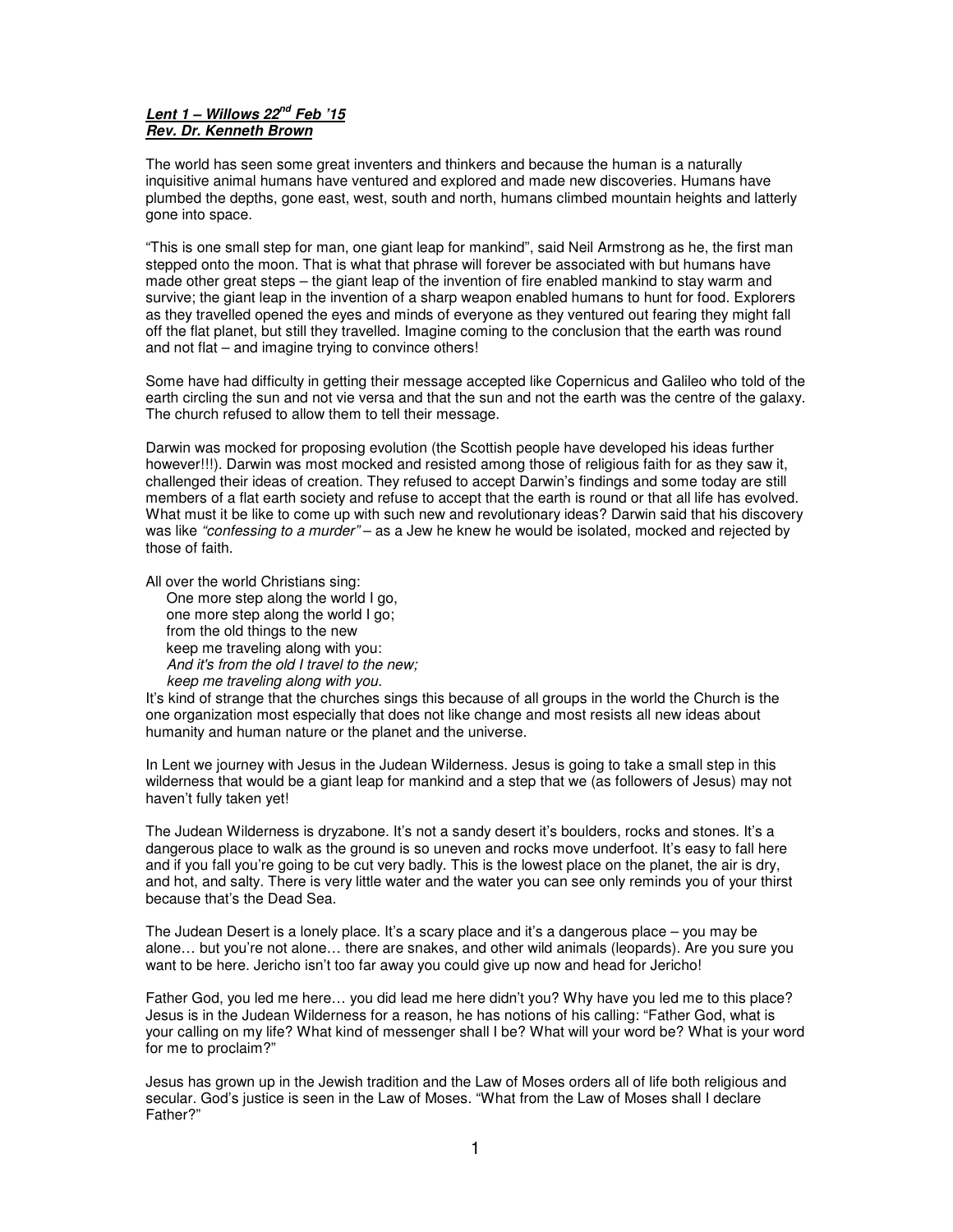## **Lent 1 – Willows 22nd Feb '15 Rev. Dr. Kenneth Brown**

The world has seen some great inventers and thinkers and because the human is a naturally inquisitive animal humans have ventured and explored and made new discoveries. Humans have plumbed the depths, gone east, west, south and north, humans climbed mountain heights and latterly gone into space.

"This is one small step for man, one giant leap for mankind", said Neil Armstrong as he, the first man stepped onto the moon. That is what that phrase will forever be associated with but humans have made other great steps – the giant leap of the invention of fire enabled mankind to stay warm and survive; the giant leap in the invention of a sharp weapon enabled humans to hunt for food. Explorers as they travelled opened the eyes and minds of everyone as they ventured out fearing they might fall off the flat planet, but still they travelled. Imagine coming to the conclusion that the earth was round and not flat – and imagine trying to convince others!

Some have had difficulty in getting their message accepted like Copernicus and Galileo who told of the earth circling the sun and not vie versa and that the sun and not the earth was the centre of the galaxy. The church refused to allow them to tell their message.

Darwin was mocked for proposing evolution (the Scottish people have developed his ideas further however!!!). Darwin was most mocked and resisted among those of religious faith for as they saw it, challenged their ideas of creation. They refused to accept Darwin's findings and some today are still members of a flat earth society and refuse to accept that the earth is round or that all life has evolved. What must it be like to come up with such new and revolutionary ideas? Darwin said that his discovery was like "confessing to a murder" – as a Jew he knew he would be isolated, mocked and rejected by those of faith.

All over the world Christians sing:

One more step along the world I go, one more step along the world I go; from the old things to the new keep me traveling along with you: And it's from the old I travel to the new; keep me traveling along with you.

It's kind of strange that the churches sings this because of all groups in the world the Church is the one organization most especially that does not like change and most resists all new ideas about humanity and human nature or the planet and the universe.

In Lent we journey with Jesus in the Judean Wilderness. Jesus is going to take a small step in this wilderness that would be a giant leap for mankind and a step that we (as followers of Jesus) may not haven't fully taken yet!

The Judean Wilderness is dryzabone. It's not a sandy desert it's boulders, rocks and stones. It's a dangerous place to walk as the ground is so uneven and rocks move underfoot. It's easy to fall here and if you fall you're going to be cut very badly. This is the lowest place on the planet, the air is dry, and hot, and salty. There is very little water and the water you can see only reminds you of your thirst because that's the Dead Sea.

The Judean Desert is a lonely place. It's a scary place and it's a dangerous place – you may be alone… but you're not alone… there are snakes, and other wild animals (leopards). Are you sure you want to be here. Jericho isn't too far away you could give up now and head for Jericho!

Father God, you led me here… you did lead me here didn't you? Why have you led me to this place? Jesus is in the Judean Wilderness for a reason, he has notions of his calling: "Father God, what is your calling on my life? What kind of messenger shall I be? What will your word be? What is your word for me to proclaim?"

Jesus has grown up in the Jewish tradition and the Law of Moses orders all of life both religious and secular. God's justice is seen in the Law of Moses. "What from the Law of Moses shall I declare Father?"